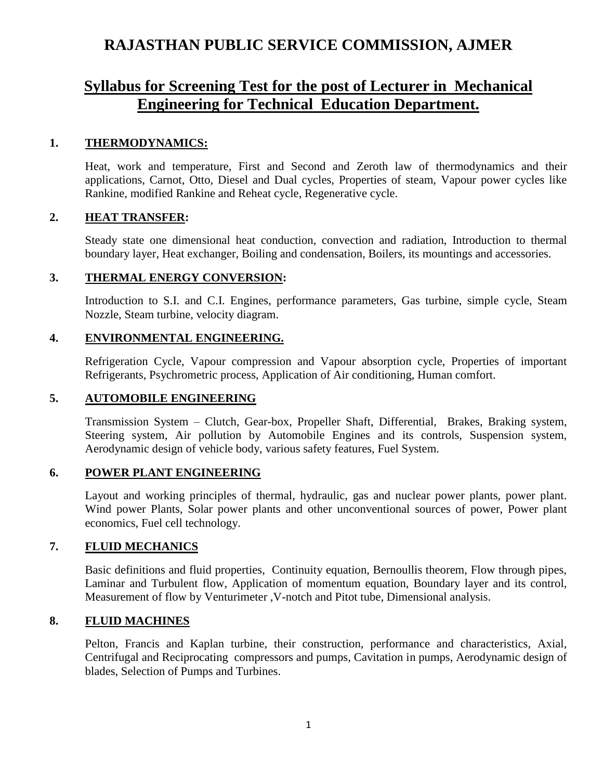# **RAJASTHAN PUBLIC SERVICE COMMISSION, AJMER**

# **Syllabus for Screening Test for the post of Lecturer in Mechanical Engineering for Technical Education Department.**

# **1. THERMODYNAMICS:**

Heat, work and temperature, First and Second and Zeroth law of thermodynamics and their applications, Carnot, Otto, Diesel and Dual cycles, Properties of steam, Vapour power cycles like Rankine, modified Rankine and Reheat cycle, Regenerative cycle.

# **2. HEAT TRANSFER:**

Steady state one dimensional heat conduction, convection and radiation, Introduction to thermal boundary layer, Heat exchanger, Boiling and condensation, Boilers, its mountings and accessories.

# **3. THERMAL ENERGY CONVERSION:**

Introduction to S.I. and C.I. Engines, performance parameters, Gas turbine, simple cycle, Steam Nozzle, Steam turbine, velocity diagram.

# **4. ENVIRONMENTAL ENGINEERING.**

Refrigeration Cycle, Vapour compression and Vapour absorption cycle, Properties of important Refrigerants, Psychrometric process, Application of Air conditioning, Human comfort.

#### **5. AUTOMOBILE ENGINEERING**

Transmission System – Clutch, Gear-box, Propeller Shaft, Differential, Brakes, Braking system, Steering system, Air pollution by Automobile Engines and its controls, Suspension system, Aerodynamic design of vehicle body, various safety features, Fuel System.

#### **6. POWER PLANT ENGINEERING**

Layout and working principles of thermal, hydraulic, gas and nuclear power plants, power plant. Wind power Plants, Solar power plants and other unconventional sources of power, Power plant economics, Fuel cell technology.

# **7. FLUID MECHANICS**

Basic definitions and fluid properties, Continuity equation, Bernoullis theorem, Flow through pipes, Laminar and Turbulent flow, Application of momentum equation, Boundary layer and its control, Measurement of flow by Venturimeter ,V-notch and Pitot tube, Dimensional analysis.

#### **8. FLUID MACHINES**

Pelton, Francis and Kaplan turbine, their construction, performance and characteristics, Axial, Centrifugal and Reciprocating compressors and pumps, Cavitation in pumps, Aerodynamic design of blades, Selection of Pumps and Turbines.